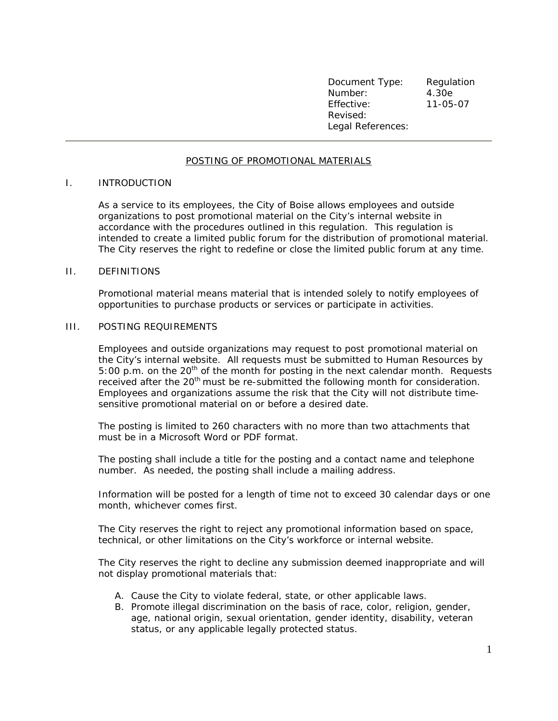Document Type: Regulation Number: 4.30e Effective: 11-05-07 Revised: Legal References:

## POSTING OF PROMOTIONAL MATERIALS

## I. INTRODUCTION

As a service to its employees, the City of Boise allows employees and outside organizations to post promotional material on the City's internal website in accordance with the procedures outlined in this regulation. This regulation is intended to create a limited public forum for the distribution of promotional material. The City reserves the right to redefine or close the limited public forum at any time.

## II. DEFINITIONS

Promotional material means material that is intended solely to notify employees of opportunities to purchase products or services or participate in activities.

## III. POSTING REQUIREMENTS

Employees and outside organizations may request to post promotional material on the City's internal website. All requests must be submitted to Human Resources by 5:00 p.m. on the  $20<sup>th</sup>$  of the month for posting in the next calendar month. Requests received after the 20<sup>th</sup> must be re-submitted the following month for consideration. Employees and organizations assume the risk that the City will not distribute timesensitive promotional material on or before a desired date.

The posting is limited to 260 characters with no more than two attachments that must be in a Microsoft Word or PDF format.

The posting shall include a title for the posting and a contact name and telephone number. As needed, the posting shall include a mailing address.

Information will be posted for a length of time not to exceed 30 calendar days or one month, whichever comes first.

The City reserves the right to reject any promotional information based on space, technical, or other limitations on the City's workforce or internal website.

The City reserves the right to decline any submission deemed inappropriate and will not display promotional materials that:

- A. Cause the City to violate federal, state, or other applicable laws.
- B. Promote illegal discrimination on the basis of race, color, religion, gender, age, national origin, sexual orientation, gender identity, disability, veteran status, or any applicable legally protected status.